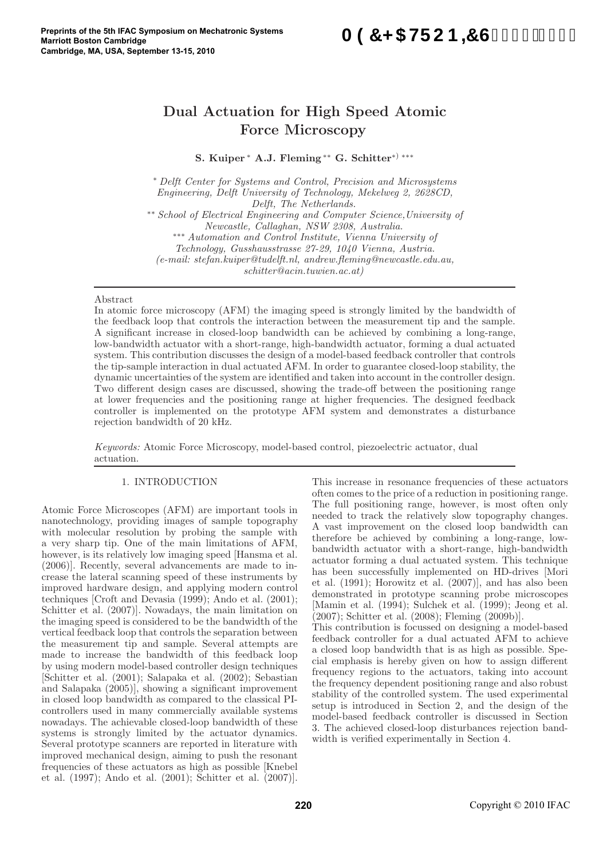# A97<5HFCB=7G&\$%\$!%S)

# Dual Actuation for High Speed Atomic Force Microscopy

S. Kuiper <sup>∗</sup> A.J. Fleming ∗∗ G. Schitter<sup>∗</sup>) ∗∗∗

<sup>∗</sup> Delft Center for Systems and Control, Precision and Microsystems Engineering, Delft University of Technology, Mekelweg 2, 2628CD, Delft, The Netherlands. ∗∗ School of Electrical Engineering and Computer Science,University of Newcastle, Callaghan, NSW 2308, Australia. ∗∗∗ Automation and Control Institute, Vienna University of Technology, Gusshausstrasse 27-29, 1040 Vienna, Austria. (e-mail: stefan.kuiper@tudelft.nl, andrew.fleming@newcastle.edu.au, schitter@acin.tuwien.ac.at)

#### Abstract

In atomic force microscopy (AFM) the imaging speed is strongly limited by the bandwidth of the feedback loop that controls the interaction between the measurement tip and the sample. A significant increase in closed-loop bandwidth can be achieved by combining a long-range, low-bandwidth actuator with a short-range, high-bandwidth actuator, forming a dual actuated system. This contribution discusses the design of a model-based feedback controller that controls the tip-sample interaction in dual actuated AFM. In order to guarantee closed-loop stability, the dynamic uncertainties of the system are identified and taken into account in the controller design. Two different design cases are discussed, showing the trade-off between the positioning range at lower frequencies and the positioning range at higher frequencies. The designed feedback controller is implemented on the prototype AFM system and demonstrates a disturbance rejection bandwidth of 20 kHz.

Keywords: Atomic Force Microscopy, model-based control, piezoelectric actuator, dual actuation.

# 1. INTRODUCTION

Atomic Force Microscopes (AFM) are important tools in nanotechnology, providing images of sample topography with molecular resolution by probing the sample with a very sharp tip. One of the main limitations of AFM, however, is its relatively low imaging speed [Hansma et al. (2006)]. Recently, several advancements are made to increase the lateral scanning speed of these instruments by improved hardware design, and applying modern control techniques [Croft and Devasia (1999); Ando et al. (2001); Schitter et al. (2007)]. Nowadays, the main limitation on the imaging speed is considered to be the bandwidth of the vertical feedback loop that controls the separation between the measurement tip and sample. Several attempts are made to increase the bandwidth of this feedback loop by using modern model-based controller design techniques [Schitter et al. (2001); Salapaka et al. (2002); Sebastian and Salapaka (2005)], showing a significant improvement in closed loop bandwidth as compared to the classical PIcontrollers used in many commercially available systems nowadays. The achievable closed-loop bandwidth of these systems is strongly limited by the actuator dynamics. Several prototype scanners are reported in literature with improved mechanical design, aiming to push the resonant frequencies of these actuators as high as possible [Knebel et al. (1997); Ando et al. (2001); Schitter et al. (2007)].

This increase in resonance frequencies of these actuators often comes to the price of a reduction in positioning range. The full positioning range, however, is most often only needed to track the relatively slow topography changes. A vast improvement on the closed loop bandwidth can therefore be achieved by combining a long-range, lowbandwidth actuator with a short-range, high-bandwidth actuator forming a dual actuated system. This technique has been successfully implemented on HD-drives [Mori et al. (1991); Horowitz et al. (2007)], and has also been demonstrated in prototype scanning probe microscopes [Mamin et al. (1994); Sulchek et al. (1999); Jeong et al. (2007); Schitter et al. (2008); Fleming (2009b)]. This contribution is focussed on designing a model-based

feedback controller for a dual actuated AFM to achieve a closed loop bandwidth that is as high as possible. Special emphasis is hereby given on how to assign different frequency regions to the actuators, taking into account the frequency dependent positioning range and also robust stability of the controlled system. The used experimental setup is introduced in Section 2, and the design of the model-based feedback controller is discussed in Section 3. The achieved closed-loop disturbances rejection bandwidth is verified experimentally in Section 4.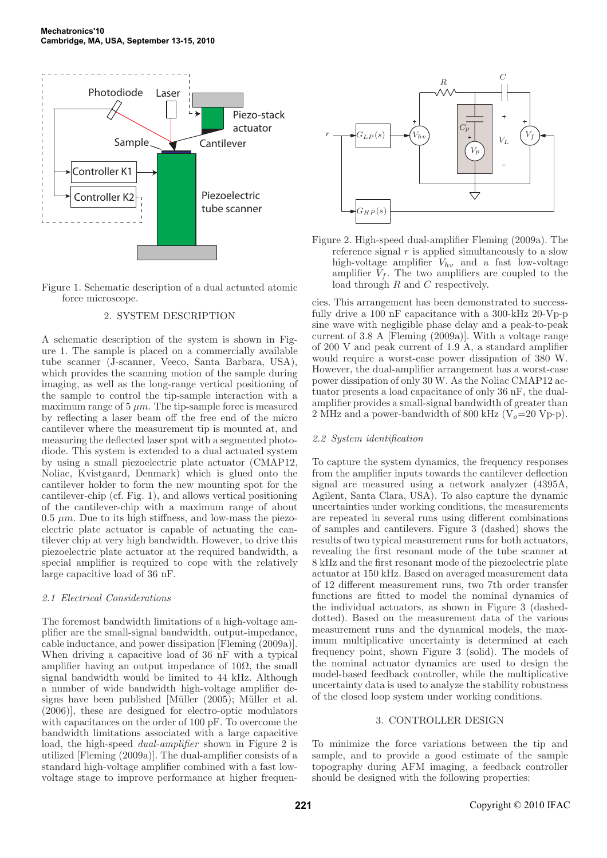



# 2. SYSTEM DESCRIPTION

A schematic description of the system is shown in Figure 1. The sample is placed on a commercially available tube scanner (J-scanner, Veeco, Santa Barbara, USA), which provides the scanning motion of the sample during imaging, as well as the long-range vertical positioning of the sample to control the tip-sample interaction with a maximum range of  $5 \mu m$ . The tip-sample force is measured by reflecting a laser beam off the free end of the micro cantilever where the measurement tip is mounted at, and measuring the deflected laser spot with a segmented photodiode. This system is extended to a dual actuated system by using a small piezoelectric plate actuator (CMAP12, Noliac, Kvistgaard, Denmark) which is glued onto the cantilever holder to form the new mounting spot for the cantilever-chip (cf. Fig. 1), and allows vertical positioning of the cantilever-chip with a maximum range of about  $0.5 \ \mu m$ . Due to its high stiffness, and low-mass the piezoelectric plate actuator is capable of actuating the cantilever chip at very high bandwidth. However, to drive this piezoelectric plate actuator at the required bandwidth, a special amplifier is required to cope with the relatively large capacitive load of 36 nF.

# 2.1 Electrical Considerations

The foremost bandwidth limitations of a high-voltage amplifier are the small-signal bandwidth, output-impedance, cable inductance, and power dissipation [Fleming (2009a)]. When driving a capacitive load of 36 nF with a typical amplifier having an output impedance of  $10\Omega$ , the small signal bandwidth would be limited to 44 kHz. Although a number of wide bandwidth high-voltage amplifier designs have been published [Müller (2005); Müller et al. (2006)], these are designed for electro-optic modulators with capacitances on the order of 100 pF. To overcome the bandwidth limitations associated with a large capacitive load, the high-speed dual-amplifier shown in Figure 2 is utilized [Fleming (2009a)]. The dual-amplifier consists of a standard high-voltage amplifier combined with a fast lowvoltage stage to improve performance at higher frequen-



Figure 2. High-speed dual-amplifier Fleming (2009a). The reference signal  $r$  is applied simultaneously to a slow high-voltage amplifier  $V_{hv}$  and a fast low-voltage amplifier  $V_f$ . The two amplifiers are coupled to the load through R and C respectively.

cies. This arrangement has been demonstrated to successfully drive a 100 nF capacitance with a 300-kHz 20-Vp-p sine wave with negligible phase delay and a peak-to-peak current of 3.8 A [Fleming (2009a)]. With a voltage range of 200 V and peak current of 1.9 A, a standard amplifier would require a worst-case power dissipation of 380 W. However, the dual-amplifier arrangement has a worst-case power dissipation of only 30 W. As the Noliac CMAP12 actuator presents a load capacitance of only 36 nF, the dualamplifier provides a small-signal bandwidth of greater than 2 MHz and a power-bandwidth of 800 kHz ( $V_o$ =20 Vp-p).

# 2.2 System identification

To capture the system dynamics, the frequency responses from the amplifier inputs towards the cantilever deflection signal are measured using a network analyzer (4395A, Agilent, Santa Clara, USA). To also capture the dynamic uncertainties under working conditions, the measurements are repeated in several runs using different combinations of samples and cantilevers. Figure 3 (dashed) shows the results of two typical measurement runs for both actuators, revealing the first resonant mode of the tube scanner at 8 kHz and the first resonant mode of the piezoelectric plate actuator at 150 kHz. Based on averaged measurement data of 12 different measurement runs, two 7th order transfer functions are fitted to model the nominal dynamics of the individual actuators, as shown in Figure 3 (dasheddotted). Based on the measurement data of the various measurement runs and the dynamical models, the maximum multiplicative uncertainty is determined at each frequency point, shown Figure 3 (solid). The models of the nominal actuator dynamics are used to design the model-based feedback controller, while the multiplicative uncertainty data is used to analyze the stability robustness of the closed loop system under working conditions.

# 3. CONTROLLER DESIGN

To minimize the force variations between the tip and sample, and to provide a good estimate of the sample topography during AFM imaging, a feedback controller should be designed with the following properties: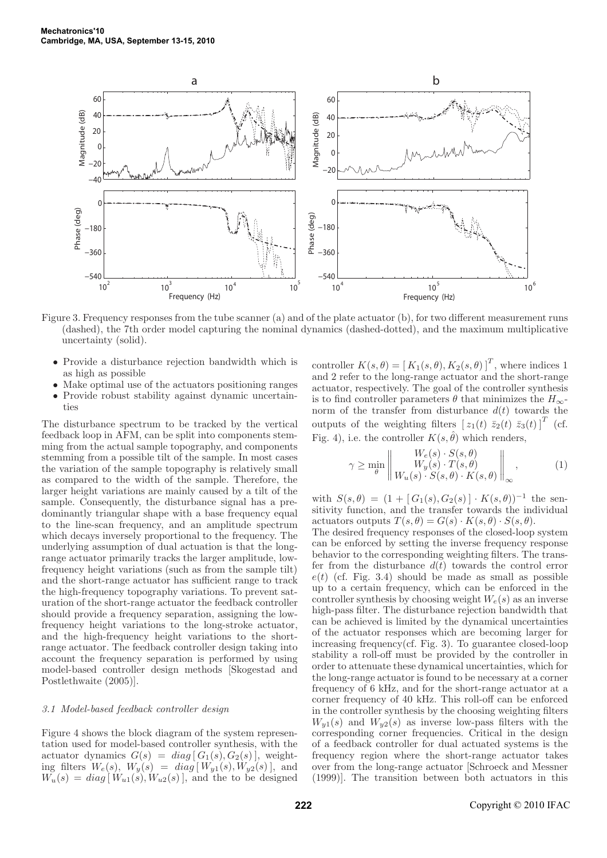

Figure 3. Frequency responses from the tube scanner (a) and of the plate actuator (b), for two different measurement runs (dashed), the 7th order model capturing the nominal dynamics (dashed-dotted), and the maximum multiplicative uncertainty (solid).

- Provide a disturbance rejection bandwidth which is as high as possible
- Make optimal use of the actuators positioning ranges
- Provide robust stability against dynamic uncertainties

The disturbance spectrum to be tracked by the vertical feedback loop in AFM, can be split into components stemming from the actual sample topography, and components stemming from a possible tilt of the sample. In most cases the variation of the sample topography is relatively small as compared to the width of the sample. Therefore, the larger height variations are mainly caused by a tilt of the sample. Consequently, the disturbance signal has a predominantly triangular shape with a base frequency equal to the line-scan frequency, and an amplitude spectrum which decays inversely proportional to the frequency. The underlying assumption of dual actuation is that the longrange actuator primarily tracks the larger amplitude, lowfrequency height variations (such as from the sample tilt) and the short-range actuator has sufficient range to track the high-frequency topography variations. To prevent saturation of the short-range actuator the feedback controller should provide a frequency separation, assigning the lowfrequency height variations to the long-stroke actuator, and the high-frequency height variations to the shortrange actuator. The feedback controller design taking into account the frequency separation is performed by using model-based controller design methods [Skogestad and Postlethwaite (2005)].

#### 3.1 Model-based feedback controller design

Figure 4 shows the block diagram of the system representation used for model-based controller synthesis, with the actuator dynamics  $G(s) = diag[G_1(s), G_2(s)]$ , weighting filters  $W_e(s)$ ,  $W_y(s) = diag[W_{y1}(s), W_{y2}(s)]$ , and  $W_u(s) = diag[W_{u1}(s), W_{u2}(s)]$ , and the to be designed

controller  $K(s, \theta) = [K_1(s, \theta), K_2(s, \theta)]^T$ , where indices 1 and 2 refer to the long-range actuator and the short-range actuator, respectively. The goal of the controller synthesis is to find controller parameters  $\theta$  that minimizes the  $H_{\infty}$ norm of the transfer from disturbance  $d(t)$  towards the outputs of the weighting filters  $[z_1(t) \ \bar{z}_2(t) \ \bar{z}_3(t)]^T$  (cf. Fig. 4), i.e. the controller  $K(s, \hat{\theta})$  which renders,

$$
\gamma \ge \min_{\theta} \left\| \frac{W_e(s) \cdot S(s, \theta)}{W_y(s) \cdot T(s, \theta)} \right\|_{\infty},
$$
\n(1)

with  $S(s, \theta) = (1 + [G_1(s), G_2(s)] \cdot K(s, \theta))^{-1}$  the sensitivity function, and the transfer towards the individual actuators outputs  $T(s, \theta) = G(s) \cdot K(s, \theta) \cdot S(s, \theta)$ .

The desired frequency responses of the closed-loop system can be enforced by setting the inverse frequency response behavior to the corresponding weighting filters. The transfer from the disturbance  $d(t)$  towards the control error  $e(t)$  (cf. Fig. 3.4) should be made as small as possible up to a certain frequency, which can be enforced in the controller synthesis by choosing weight  $W_e(s)$  as an inverse high-pass filter. The disturbance rejection bandwidth that can be achieved is limited by the dynamical uncertainties of the actuator responses which are becoming larger for increasing frequency(cf. Fig. 3). To guarantee closed-loop stability a roll-off must be provided by the controller in order to attenuate these dynamical uncertainties, which for the long-range actuator is found to be necessary at a corner frequency of 6 kHz, and for the short-range actuator at a corner frequency of 40 kHz. This roll-off can be enforced in the controller synthesis by the choosing weighting filters  $W_{y1}(s)$  and  $W_{y2}(s)$  as inverse low-pass filters with the corresponding corner frequencies. Critical in the design of a feedback controller for dual actuated systems is the frequency region where the short-range actuator takes over from the long-range actuator [Schroeck and Messner (1999)]. The transition between both actuators in this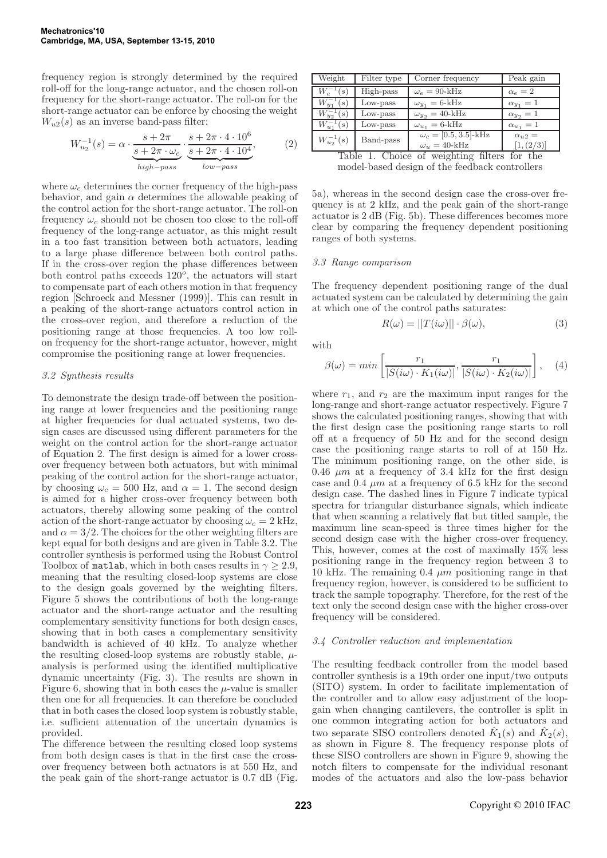frequency region is strongly determined by the required roll-off for the long-range actuator, and the chosen roll-on frequency for the short-range actuator. The roll-on for the short-range actuator can be enforce by choosing the weight  $W_{u2}(s)$  as an inverse band-pass filter:

$$
W_{u_2}^{-1}(s) = \alpha \cdot \underbrace{\frac{s + 2\pi}{s + 2\pi \cdot \omega_c}}_{high-pass} \cdot \underbrace{\frac{s + 2\pi \cdot 4 \cdot 10^6}{s + 2\pi \cdot 4 \cdot 10^4}}_{low-pass},
$$
 (2)

where  $\omega_c$  determines the corner frequency of the high-pass behavior, and gain  $\alpha$  determines the allowable peaking of the control action for the short-range actuator. The roll-on frequency  $\omega_c$  should not be chosen too close to the roll-off frequency of the long-range actuator, as this might result in a too fast transition between both actuators, leading to a large phase difference between both control paths. If in the cross-over region the phase differences between both control paths exceeds  $120^{\circ}$ , the actuators will start to compensate part of each others motion in that frequency region [Schroeck and Messner (1999)]. This can result in a peaking of the short-range actuators control action in the cross-over region, and therefore a reduction of the positioning range at those frequencies. A too low rollon frequency for the short-range actuator, however, might compromise the positioning range at lower frequencies.

## 3.2 Synthesis results

To demonstrate the design trade-off between the positioning range at lower frequencies and the positioning range at higher frequencies for dual actuated systems, two design cases are discussed using different parameters for the weight on the control action for the short-range actuator of Equation 2. The first design is aimed for a lower crossover frequency between both actuators, but with minimal peaking of the control action for the short-range actuator, by choosing  $\omega_c = 500$  Hz, and  $\alpha = 1$ . The second design is aimed for a higher cross-over frequency between both actuators, thereby allowing some peaking of the control action of the short-range actuator by choosing  $\omega_c = 2$  kHz, and  $\alpha = 3/2$ . The choices for the other weighting filters are kept equal for both designs and are given in Table 3.2. The controller synthesis is performed using the Robust Control Toolbox of matlab, which in both cases results in  $\gamma > 2.9$ , meaning that the resulting closed-loop systems are close to the design goals governed by the weighting filters. Figure 5 shows the contributions of both the long-range actuator and the short-range actuator and the resulting complementary sensitivity functions for both design cases, showing that in both cases a complementary sensitivity bandwidth is achieved of 40 kHz. To analyze whether the resulting closed-loop systems are robustly stable,  $\mu$ analysis is performed using the identified multiplicative dynamic uncertainty (Fig. 3). The results are shown in Figure 6, showing that in both cases the  $\mu$ -value is smaller then one for all frequencies. It can therefore be concluded that in both cases the closed loop system is robustly stable, i.e. sufficient attenuation of the uncertain dynamics is provided.

The difference between the resulting closed loop systems from both design cases is that in the first case the crossover frequency between both actuators is at 550 Hz, and the peak gain of the short-range actuator is 0.7 dB (Fig.

| Weight                                               | Filter type | Corner frequency             | Peak gain        |
|------------------------------------------------------|-------------|------------------------------|------------------|
| $W_e^{-1}(s)$                                        | High-pass   | $\omega_e = 90$ -kHz         | $\alpha_e = 2$   |
| $W_{y_1}^{-1}(s)$                                    | Low-pass    | $\omega_{u_1} = 6$ -kHz      | $\alpha_{y_1}=1$ |
| $W_{y_2}^{-1}(s)$                                    | Low-pass    | $\omega_{y_2} = 40$ -kHz     | $\alpha_{u_2}=1$ |
| $W_{u_1}^{-1}(s)$                                    | Low-pass    | $\omega_{u_1} = 6$ -kHz      | $\alpha_{u_1}=1$ |
| $W_{u_2}^{-1}(s)$                                    | Band-pass   | $\omega_c = [0.5, 3.5]$ -kHz | $\alpha_{u2} =$  |
|                                                      |             | $\omega_u = 40$ -kHz         | [1,(2/3)]        |
| of weighting filters<br>Choice<br>for the<br>ʻl'ahle |             |                              |                  |

1. Choice of weighting filters for model-based design of the feedback controllers

5a), whereas in the second design case the cross-over frequency is at 2 kHz, and the peak gain of the short-range actuator is 2 dB (Fig. 5b). These differences becomes more clear by comparing the frequency dependent positioning ranges of both systems.

# 3.3 Range comparison

The frequency dependent positioning range of the dual actuated system can be calculated by determining the gain at which one of the control paths saturates:

$$
R(\omega) = ||T(i\omega)|| \cdot \beta(\omega), \tag{3}
$$

with

$$
\beta(\omega) = \min\left[\frac{r_1}{|S(i\omega) \cdot K_1(i\omega)|}, \frac{r_1}{|S(i\omega) \cdot K_2(i\omega)|}\right], \quad (4)
$$

where  $r_1$ , and  $r_2$  are the maximum input ranges for the long-range and short-range actuator respectively. Figure 7 shows the calculated positioning ranges, showing that with the first design case the positioning range starts to roll off at a frequency of 50 Hz and for the second design case the positioning range starts to roll of at 150 Hz. The minimum positioning range, on the other side, is 0.46  $\mu$ m at a frequency of 3.4 kHz for the first design case and 0.4  $\mu$ m at a frequency of 6.5 kHz for the second design case. The dashed lines in Figure 7 indicate typical spectra for triangular disturbance signals, which indicate that when scanning a relatively flat but titled sample, the maximum line scan-speed is three times higher for the second design case with the higher cross-over frequency. This, however, comes at the cost of maximally 15% less positioning range in the frequency region between 3 to 10 kHz. The remaining 0.4  $\mu$ m positioning range in that frequency region, however, is considered to be sufficient to track the sample topography. Therefore, for the rest of the text only the second design case with the higher cross-over frequency will be considered.

# 3.4 Controller reduction and implementation

The resulting feedback controller from the model based controller synthesis is a 19th order one input/two outputs (SITO) system. In order to facilitate implementation of the controller and to allow easy adjustment of the loopgain when changing cantilevers, the controller is split in one common integrating action for both actuators and two separate SISO controllers denoted  $\hat{K}_1(s)$  and  $\hat{K}_2(s)$ , as shown in Figure 8. The frequency response plots of these SISO controllers are shown in Figure 9, showing the notch filters to compensate for the individual resonant modes of the actuators and also the low-pass behavior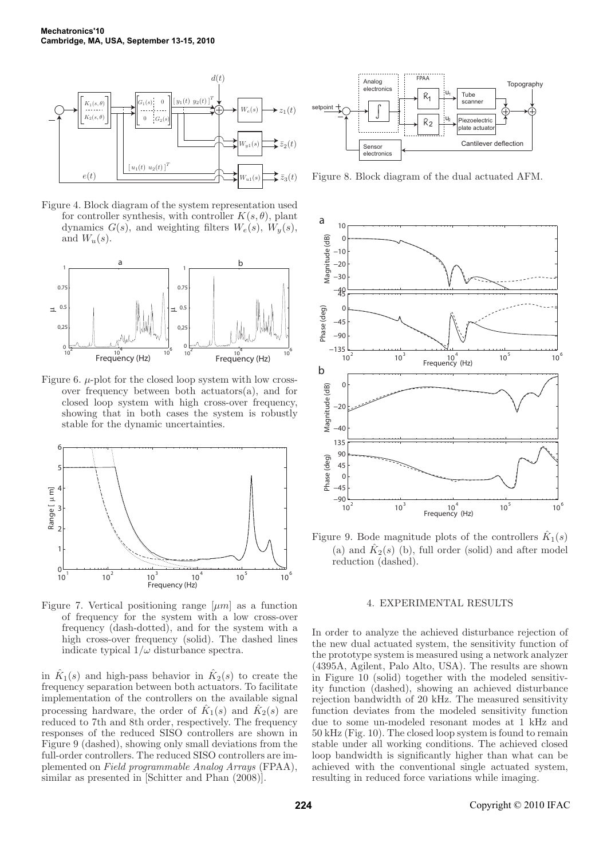

Figure 4. Block diagram of the system representation used for controller synthesis, with controller  $K(s, \theta)$ , plant dynamics  $G(s)$ , and weighting filters  $W_e(s)$ ,  $W_u(s)$ , and  $W_u(s)$ .



Figure 6.  $\mu$ -plot for the closed loop system with low crossover frequency between both actuators(a), and for closed loop system with high cross-over frequency, showing that in both cases the system is robustly stable for the dynamic uncertainties.



Figure 7. Vertical positioning range  $[\mu m]$  as a function of frequency for the system with a low cross-over frequency (dash-dotted), and for the system with a high cross-over frequency (solid). The dashed lines indicate typical  $1/\omega$  disturbance spectra.

in  $\hat{K}_1(s)$  and high-pass behavior in  $\hat{K}_2(s)$  to create the frequency separation between both actuators. To facilitate implementation of the controllers on the available signal processing hardware, the order of  $\hat{K}_1(s)$  and  $\hat{K}_2(s)$  are reduced to 7th and 8th order, respectively. The frequency responses of the reduced SISO controllers are shown in Figure 9 (dashed), showing only small deviations from the full-order controllers. The reduced SISO controllers are implemented on Field programmable Analog Arrays (FPAA), similar as presented in [Schitter and Phan (2008)].



Figure 8. Block diagram of the dual actuated AFM.



Figure 9. Bode magnitude plots of the controllers  $\hat{K}_1(s)$ (a) and  $\hat{K}_2(s)$  (b), full order (solid) and after model reduction (dashed).

## 4. EXPERIMENTAL RESULTS

In order to analyze the achieved disturbance rejection of the new dual actuated system, the sensitivity function of the prototype system is measured using a network analyzer (4395A, Agilent, Palo Alto, USA). The results are shown in Figure 10 (solid) together with the modeled sensitivity function (dashed), showing an achieved disturbance rejection bandwidth of 20 kHz. The measured sensitivity function deviates from the modeled sensitivity function due to some un-modeled resonant modes at 1 kHz and 50 kHz (Fig. 10). The closed loop system is found to remain stable under all working conditions. The achieved closed loop bandwidth is significantly higher than what can be achieved with the conventional single actuated system, resulting in reduced force variations while imaging.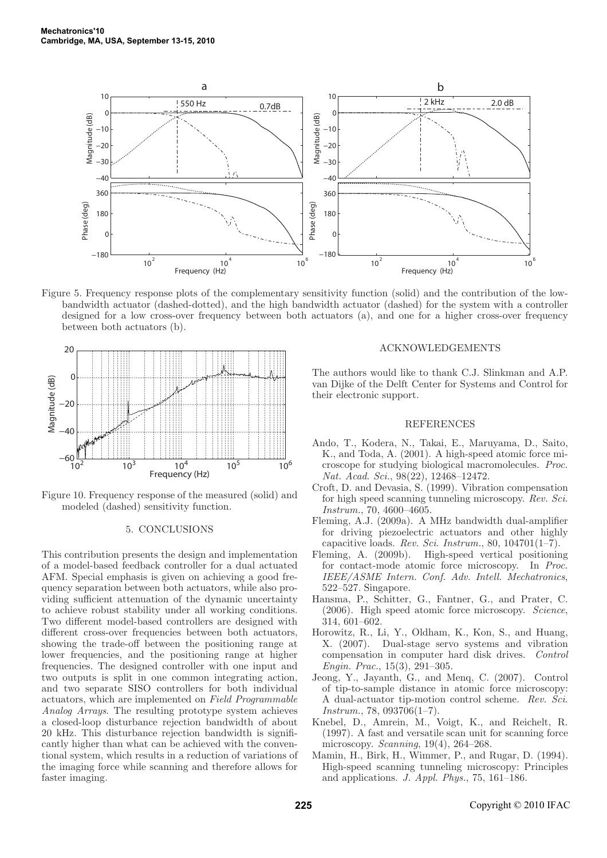

Figure 5. Frequency response plots of the complementary sensitivity function (solid) and the contribution of the lowbandwidth actuator (dashed-dotted), and the high bandwidth actuator (dashed) for the system with a controller designed for a low cross-over frequency between both actuators (a), and one for a higher cross-over frequency between both actuators (b).



Figure 10. Frequency response of the measured (solid) and modeled (dashed) sensitivity function.

# 5. CONCLUSIONS

This contribution presents the design and implementation of a model-based feedback controller for a dual actuated AFM. Special emphasis is given on achieving a good frequency separation between both actuators, while also providing sufficient attenuation of the dynamic uncertainty to achieve robust stability under all working conditions. Two different model-based controllers are designed with different cross-over frequencies between both actuators, showing the trade-off between the positioning range at lower frequencies, and the positioning range at higher frequencies. The designed controller with one input and two outputs is split in one common integrating action, and two separate SISO controllers for both individual actuators, which are implemented on Field Programmable Analog Arrays. The resulting prototype system achieves a closed-loop disturbance rejection bandwidth of about 20 kHz. This disturbance rejection bandwidth is significantly higher than what can be achieved with the conventional system, which results in a reduction of variations of the imaging force while scanning and therefore allows for faster imaging.

#### ACKNOWLEDGEMENTS

The authors would like to thank C.J. Slinkman and A.P. van Dijke of the Delft Center for Systems and Control for their electronic support.

# REFERENCES

- Ando, T., Kodera, N., Takai, E., Maruyama, D., Saito, K., and Toda, A. (2001). A high-speed atomic force microscope for studying biological macromolecules. Proc. Nat. Acad. Sci., 98(22), 12468–12472.
- Croft, D. and Devasia, S. (1999). Vibration compensation for high speed scanning tunneling microscopy. Rev. Sci. Instrum., 70, 4600–4605.
- Fleming, A.J. (2009a). A MHz bandwidth dual-amplifier for driving piezoelectric actuators and other highly capacitive loads. Rev. Sci. Instrum., 80,  $104701(1-\overline{7})$ .
- Fleming, A. (2009b). High-speed vertical positioning for contact-mode atomic force microscopy. In Proc. IEEE/ASME Intern. Conf. Adv. Intell. Mechatronics, 522–527. Singapore.
- Hansma, P., Schitter, G., Fantner, G., and Prater, C. (2006). High speed atomic force microscopy. Science, 314, 601–602.
- Horowitz, R., Li, Y., Oldham, K., Kon, S., and Huang, X. (2007). Dual-stage servo systems and vibration compensation in computer hard disk drives. Control Engin. Prac., 15(3), 291–305.
- Jeong, Y., Jayanth, G., and Menq, C. (2007). Control of tip-to-sample distance in atomic force microscopy: A dual-actuator tip-motion control scheme. Rev. Sci.  $Instrument., 78, 093706(1–7).$
- Knebel, D., Amrein, M., Voigt, K., and Reichelt, R. (1997). A fast and versatile scan unit for scanning force microscopy. Scanning, 19(4), 264–268.
- Mamin, H., Birk, H., Wimmer, P., and Rugar, D. (1994). High-speed scanning tunneling microscopy: Principles and applications. J. Appl. Phys., 75, 161–186.